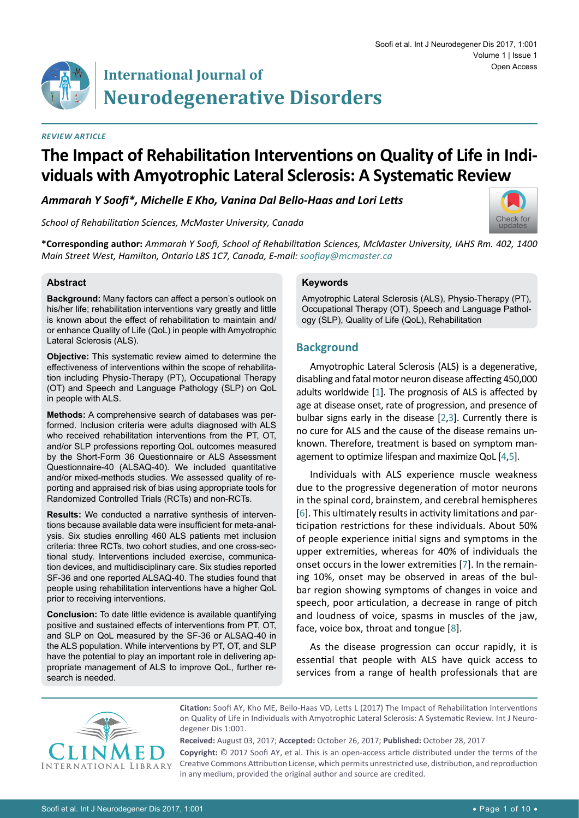# **International Journal of Neurodegenerative Disorders**

#### *Review Article*

# **The Impact of Rehabilitation Interventions on Quality of Life in Individuals with Amyotrophic Lateral Sclerosis: A Systematic Review**

*Ammarah Y Soofi\*, Michelle E Kho, Vanina Dal Bello-Haas and Lori Letts*

*School of Rehabilitation Sciences, McMaster University, Canada*



**\*Corresponding author:** *Ammarah Y Soofi, School of Rehabilitation Sciences, McMaster University, IAHS Rm. 402, 1400 Main Street West, Hamilton, Ontario L8S 1C7, Canada, E-mail: soofiay@mcmaster.ca*

#### **Abstract**

**Background:** Many factors can affect a person's outlook on his/her life; rehabilitation interventions vary greatly and little is known about the effect of rehabilitation to maintain and/ or enhance Quality of Life (QoL) in people with Amyotrophic Lateral Sclerosis (ALS).

**Objective:** This systematic review aimed to determine the effectiveness of interventions within the scope of rehabilitation including Physio-Therapy (PT), Occupational Therapy (OT) and Speech and Language Pathology (SLP) on QoL in people with ALS.

**Methods:** A comprehensive search of databases was performed. Inclusion criteria were adults diagnosed with ALS who received rehabilitation interventions from the PT, OT, and/or SLP professions reporting QoL outcomes measured by the Short-Form 36 Questionnaire or ALS Assessment Questionnaire-40 (ALSAQ-40). We included quantitative and/or mixed-methods studies. We assessed quality of reporting and appraised risk of bias using appropriate tools for Randomized Controlled Trials (RCTs) and non-RCTs.

**Results:** We conducted a narrative synthesis of interventions because available data were insufficient for meta-analysis. Six studies enrolling 460 ALS patients met inclusion criteria: three RCTs, two cohort studies, and one cross-sectional study. Interventions included exercise, communication devices, and multidisciplinary care. Six studies reported SF-36 and one reported ALSAQ-40. The studies found that people using rehabilitation interventions have a higher QoL prior to receiving interventions.

**Conclusion:** To date little evidence is available quantifying positive and sustained effects of interventions from PT, OT, and SLP on QoL measured by the SF-36 or ALSAQ-40 in the ALS population. While interventions by PT, OT, and SLP have the potential to play an important role in delivering appropriate management of ALS to improve QoL, further research is needed.

#### **Keywords**

Amyotrophic Lateral Sclerosis (ALS), Physio-Therapy (PT), Occupational Therapy (OT), Speech and Language Pathology (SLP), Quality of Life (QoL), Rehabilitation

# **Background**

Amyotrophic Lateral Sclerosis (ALS) is a degenerative, disabling and fatal motor neuron disease affecting 450,000 adults worldwide [[1](#page-8-0)]. The prognosis of ALS is affected by age at disease onset, rate of progression, and presence of bulbar signs early in the disease [\[2](#page-8-1),[3](#page-8-2)]. Currently there is no cure for ALS and the cause of the disease remains unknown. Therefore, treatment is based on symptom management to optimize lifespan and maximize QoL [\[4](#page-8-3)[,5](#page-8-4)].

Individuals with ALS experience muscle weakness due to the progressive degeneration of motor neurons in the spinal cord, brainstem, and cerebral hemispheres [\[6](#page-9-0)]. This ultimately results in activity limitations and participation restrictions for these individuals. About 50% of people experience initial signs and symptoms in the upper extremities, whereas for 40% of individuals the onset occurs in the lower extremities [[7](#page-9-1)]. In the remaining 10%, onset may be observed in areas of the bulbar region showing symptoms of changes in voice and speech, poor articulation, a decrease in range of pitch and loudness of voice, spasms in muscles of the jaw, face, voice box, throat and tongue [[8](#page-9-2)].

As the disease progression can occur rapidly, it is essential that people with ALS have quick access to services from a range of health professionals that are



**Citation:** Soofi AY, Kho ME, Bello-Haas VD, Letts L (2017) The Impact of Rehabilitation Interventions on Quality of Life in Individuals with Amyotrophic Lateral Sclerosis: A Systematic Review. Int J Neurodegener Dis 1:001.

**Received:** August 03, 2017; **Accepted:** October 26, 2017; **Published:** October 28, 2017 **Copyright:** © 2017 Soofi AY, et al. This is an open-access article distributed under the terms of the Creative Commons Attribution License, which permits unrestricted use, distribution, and reproduction in any medium, provided the original author and source are credited.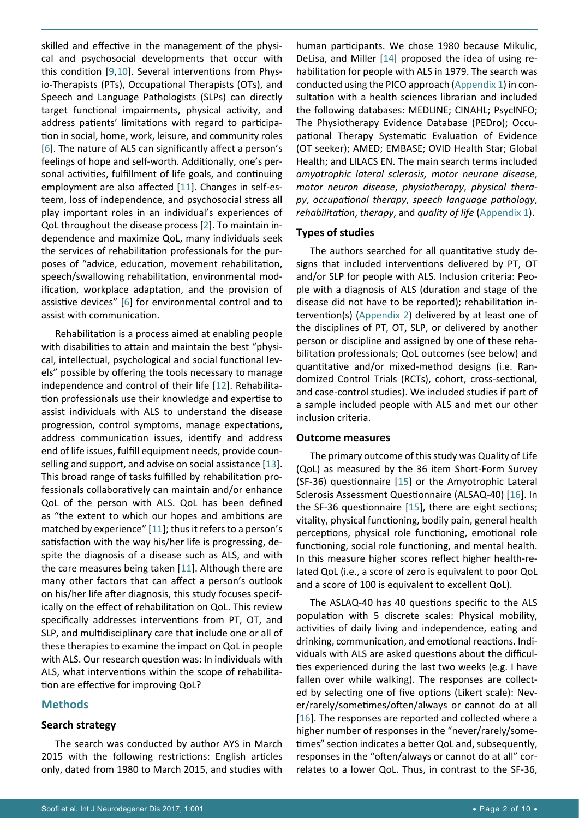skilled and effective in the management of the physical and psychosocial developments that occur with this condition [[9](#page-9-6)[,10](#page-9-7)]. Several interventions from Physio-Therapists (PTs), Occupational Therapists (OTs), and Speech and Language Pathologists (SLPs) can directly target functional impairments, physical activity, and address patients' limitations with regard to participation in social, home, work, leisure, and community roles [[6](#page-9-0)]. The nature of ALS can significantly affect a person's feelings of hope and self-worth. Additionally, one's personal activities, fulfillment of life goals, and continuing employment are also affected [[11](#page-9-8)]. Changes in self-esteem, loss of independence, and psychosocial stress all play important roles in an individual's experiences of QoL throughout the disease process [[2\]](#page-8-1). To maintain independence and maximize QoL, many individuals seek the services of rehabilitation professionals for the purposes of "advice, education, movement rehabilitation, speech/swallowing rehabilitation, environmental modification, workplace adaptation, and the provision of assistive devices" [[6](#page-9-0)] for environmental control and to assist with communication.

Rehabilitation is a process aimed at enabling people with disabilities to attain and maintain the best "physical, intellectual, psychological and social functional levels" possible by offering the tools necessary to manage independence and control of their life [[12](#page-9-9)]. Rehabilitation professionals use their knowledge and expertise to assist individuals with ALS to understand the disease progression, control symptoms, manage expectations, address communication issues, identify and address end of life issues, fulfill equipment needs, provide counselling and support, and advise on social assistance [[13](#page-9-10)]. This broad range of tasks fulfilled by rehabilitation professionals collaboratively can maintain and/or enhance QoL of the person with ALS. QoL has been defined as "the extent to which our hopes and ambitions are matched by experience" [[11](#page-9-8)]; thus it refers to a person's satisfaction with the way his/her life is progressing, despite the diagnosis of a disease such as ALS, and with the care measures being taken [[11](#page-9-8)]. Although there are many other factors that can affect a person's outlook on his/her life after diagnosis, this study focuses specifically on the effect of rehabilitation on QoL. This review specifically addresses interventions from PT, OT, and SLP, and multidisciplinary care that include one or all of these therapies to examine the impact on QoL in people with ALS. Our research question was: In individuals with ALS, what interventions within the scope of rehabilitation are effective for improving QoL?

### **Methods**

#### **Search strategy**

The search was conducted by author AYS in March 2015 with the following restrictions: English articles only, dated from 1980 to March 2015, and studies with human participants. We chose 1980 because Mikulic, DeLisa, and Miller [\[14](#page-9-3)] proposed the idea of using rehabilitation for people with ALS in 1979. The search was conducted using the PICO approach ([Appendix 1](https://clinmedjournals.org/articles/ijnd/ijnd-1-01-appendix-1.doc)) in consultation with a health sciences librarian and included the following databases: MEDLINE; CINAHL; PsycINFO; The Physiotherapy Evidence Database (PEDro); Occupational Therapy Systematic Evaluation of Evidence (OT seeker); AMED; EMBASE; OVID Health Star; Global Health; and LILACS EN. The main search terms included *amyotrophic lateral sclerosis, motor neurone disease*, *motor neuron disease*, *physiotherapy*, *physical therapy*, *occupational therapy*, *speech language pathology*, *rehabilitation*, *therapy*, and *quality of life* ([Appendix 1](https://clinmedjournals.org/articles/ijnd/ijnd-1-01-appendix-1.doc)).

#### **Types of studies**

The authors searched for all quantitative study designs that included interventions delivered by PT, OT and/or SLP for people with ALS. Inclusion criteria: People with a diagnosis of ALS (duration and stage of the disease did not have to be reported); rehabilitation intervention(s) [\(Appendix 2](https://clinmedjournals.org/articles/ijnd/ijnd-1-01-appendix-2.doc)) delivered by at least one of the disciplines of PT, OT, SLP, or delivered by another person or discipline and assigned by one of these rehabilitation professionals; QoL outcomes (see below) and quantitative and/or mixed-method designs (i.e. Randomized Control Trials (RCTs), cohort, cross-sectional, and case-control studies). We included studies if part of a sample included people with ALS and met our other inclusion criteria.

#### **Outcome measures**

The primary outcome of this study was Quality of Life (QoL) as measured by the 36 item Short-Form Survey (SF-36) questionnaire [\[15](#page-9-4)] or the Amyotrophic Lateral Sclerosis Assessment Questionnaire (ALSAQ-40) [[16](#page-9-5)]. In the SF-36 questionnaire [\[15](#page-9-4)], there are eight sections; vitality, physical functioning, bodily pain, general health perceptions, physical role functioning, emotional role functioning, social role functioning, and mental health. In this measure higher scores reflect higher health-related QoL (i.e., a score of zero is equivalent to poor QoL and a score of 100 is equivalent to excellent QoL).

The ASLAQ-40 has 40 questions specific to the ALS population with 5 discrete scales: Physical mobility, activities of daily living and independence, eating and drinking, communication, and emotional reactions. Individuals with ALS are asked questions about the difficulties experienced during the last two weeks (e.g. I have fallen over while walking). The responses are collected by selecting one of five options (Likert scale): Never/rarely/sometimes/often/always or cannot do at all [\[16](#page-9-5)]. The responses are reported and collected where a higher number of responses in the "never/rarely/sometimes" section indicates a better QoL and, subsequently, responses in the "often/always or cannot do at all" correlates to a lower QoL. Thus, in contrast to the SF-36,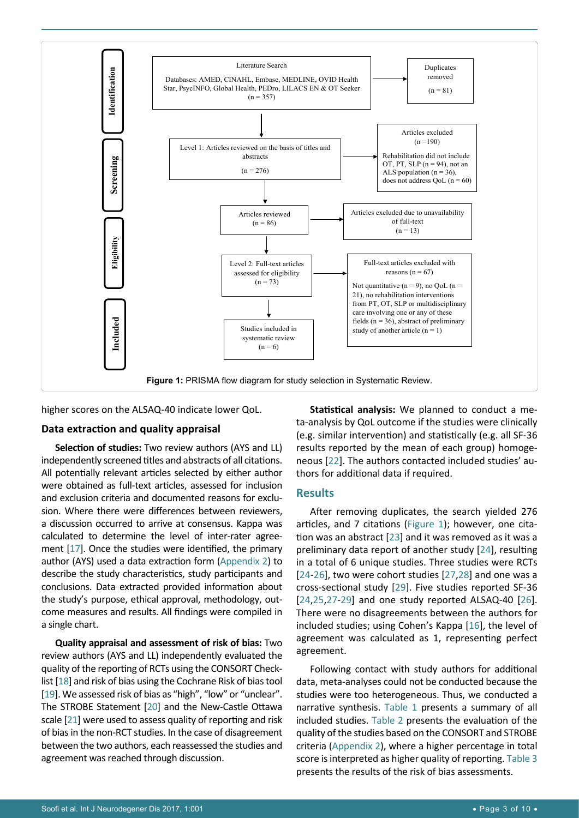<span id="page-2-0"></span>

higher scores on the ALSAQ-40 indicate lower QoL.

#### **Data extraction and quality appraisal**

**Selection of studies:** Two review authors (AYS and LL) independently screened titles and abstracts of all citations. All potentially relevant articles selected by either author were obtained as full-text articles, assessed for inclusion and exclusion criteria and documented reasons for exclusion. Where there were differences between reviewers, a discussion occurred to arrive at consensus. Kappa was calculated to determine the level of inter-rater agreement [[17](#page-9-19)]. Once the studies were identified, the primary author (AYS) used a data extraction form [\(Appendix 2](https://clinmedjournals.org/articles/ijnd/ijnd-1-01-appendix-2.doc)) to describe the study characteristics, study participants and conclusions. Data extracted provided information about the study's purpose, ethical approval, methodology, outcome measures and results. All findings were compiled in a single chart.

**Quality appraisal and assessment of risk of bias:** Two review authors (AYS and LL) independently evaluated the quality of the reporting of RCTs using the CONSORT Checklist [\[18](#page-9-20)] and risk of bias using the Cochrane Risk of bias tool [[19](#page-9-21)]. We assessed risk of bias as "high", "low" or "unclear". The STROBE Statement [\[20\]](#page-9-22) and the New-Castle Ottawa scale [\[21](#page-9-23)] were used to assess quality of reporting and risk of bias in the non-RCT studies. In the case of disagreement between the two authors, each reassessed the studies and agreement was reached through discussion.

**Statistical analysis:** We planned to conduct a meta-analysis by QoL outcome if the studies were clinically (e.g. similar intervention) and statistically (e.g. all SF-36 results reported by the mean of each group) homogeneous [[22](#page-9-11)]. The authors contacted included studies' authors for additional data if required.

#### **Results**

After removing duplicates, the search yielded 276 articles, and 7 citations [\(Figure 1](#page-2-0)); however, one citation was an abstract [[23](#page-9-12)] and it was removed as it was a preliminary data report of another study [[24\]](#page-9-13), resulting in a total of 6 unique studies. Three studies were RCTs [[24](#page-9-13)-[26](#page-9-14)], two were cohort studies [[27](#page-9-15),[28\]](#page-9-16) and one was a cross-sectional study [\[29](#page-9-17)]. Five studies reported SF-36 [[24](#page-9-13)[,25](#page-9-18),[27](#page-9-15)-[29\]](#page-9-17) and one study reported ALSAQ-40 [[26\]](#page-9-14). There were no disagreements between the authors for included studies; using Cohen's Kappa [[16](#page-9-5)], the level of agreement was calculated as 1, representing perfect agreement.

Following contact with study authors for additional data, meta-analyses could not be conducted because the studies were too heterogeneous. Thus, we conducted a narrative synthesis. [Table 1](#page-3-0) presents a summary of all included studies. [Table 2](#page-5-0) presents the evaluation of the quality of the studies based on the CONSORT and STROBE criteria ([Appendix 2](https://clinmedjournals.org/articles/ijnd/ijnd-1-01-appendix-2.doc)), where a higher percentage in total score is interpreted as higher quality of reporting. [Table 3](#page-6-0) presents the results of the risk of bias assessments.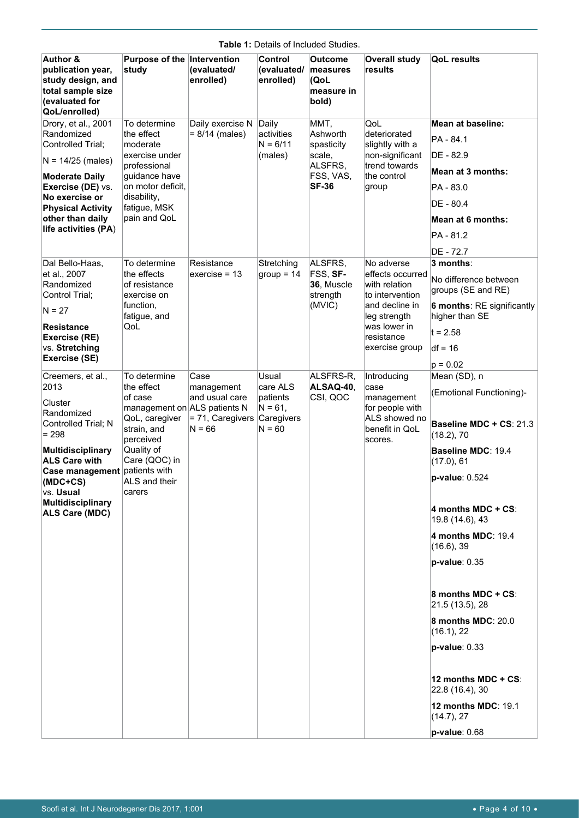|                                                                                                                       |                                            |                              |                                     | $\mu$ e T. Details Of filcluded Studies.           |                                            |                                                     |
|-----------------------------------------------------------------------------------------------------------------------|--------------------------------------------|------------------------------|-------------------------------------|----------------------------------------------------|--------------------------------------------|-----------------------------------------------------|
| <b>Author &amp;</b><br>publication year,<br>study design, and<br>total sample size<br>(evaluated for<br>QoL/enrolled) | Purpose of the Intervention<br>study       | (evaluated/<br>enrolled)     | Control<br>(evaluated/<br>enrolled) | Outcome<br>measures<br>(QoL<br>measure in<br>bold) | <b>Overall study</b><br>results            | <b>QoL</b> results                                  |
| Drory, et al., 2001                                                                                                   | To determine                               | Daily exercise N             | Daily                               | MMT.                                               | QoL                                        | Mean at baseline:                                   |
| Randomized                                                                                                            | the effect                                 | $= 8/14$ (males)             | activities                          | Ashworth                                           | deteriorated                               | PA - 84.1                                           |
| Controlled Trial:                                                                                                     | moderate<br>exercise under                 |                              | $N = 6/11$<br>(males)               | spasticity<br>scale,                               | slightly with a<br>non-significant         | DE - 82.9                                           |
| $N = 14/25$ (males)                                                                                                   | professional                               |                              |                                     | ALSFRS,                                            | trend towards                              |                                                     |
| <b>Moderate Daily</b>                                                                                                 | guidance have                              |                              |                                     | FSS, VAS,                                          | the control                                | Mean at 3 months:                                   |
| Exercise (DE) vs.<br>No exercise or                                                                                   | on motor deficit.<br>disability,           |                              |                                     | <b>SF-36</b>                                       | group                                      | PA - 83.0                                           |
| <b>Physical Activity</b>                                                                                              | fatigue, MSK                               |                              |                                     |                                                    |                                            | DE - 80.4                                           |
| other than daily                                                                                                      | pain and QoL                               |                              |                                     |                                                    |                                            | Mean at 6 months:                                   |
| life activities (PA)                                                                                                  |                                            |                              |                                     |                                                    |                                            | PA - 81.2                                           |
|                                                                                                                       |                                            |                              |                                     |                                                    |                                            | DE - 72.7                                           |
| Dal Bello-Haas,                                                                                                       | To determine                               | Resistance                   | Stretching                          | ALSFRS,                                            | No adverse                                 | 3 months:                                           |
| et al., 2007<br>Randomized                                                                                            | the effects<br>of resistance               | exercise = $13$              | $group = 14$                        | FSS, SF-<br>36, Muscle                             | effects occurred<br>with relation          | No difference between                               |
| Control Trial:                                                                                                        | exercise on                                |                              |                                     | strength                                           | to intervention                            | groups (SE and RE)                                  |
| $N = 27$                                                                                                              | function,<br>fatigue, and                  |                              |                                     | (MVIC)                                             | and decline in<br>leg strength             | <b>6 months: RE significantly</b><br>higher than SE |
| Resistance<br>Exercise (RE)                                                                                           | QoL                                        |                              |                                     |                                                    | was lower in<br>resistance                 | $t = 2.58$                                          |
| vs. Stretching                                                                                                        |                                            |                              |                                     |                                                    | exercise group                             | $df = 16$                                           |
| Exercise (SE)                                                                                                         |                                            |                              |                                     |                                                    |                                            | $p = 0.02$                                          |
| Creemers, et al.,                                                                                                     | To determine                               | Case                         | Usual                               | ALSFRS-R.                                          | Introducing                                | Mean (SD), n                                        |
| 2013                                                                                                                  | the effect<br>of case                      | management<br>and usual care | care ALS<br>patients                | ALSAQ-40,<br>CSI, QOC                              | case<br>management                         | (Emotional Functioning)-                            |
| Cluster<br>Randomized                                                                                                 | management on ALS patients N               |                              | $N = 61,$                           |                                                    | for people with                            |                                                     |
| Controlled Trial; N<br>$= 298$                                                                                        | QoL, caregiver<br>strain, and<br>perceived | = 71, Caregivers<br>$N = 66$ | Caregivers<br>$N = 60$              |                                                    | ALS showed no<br>benefit in QoL<br>scores. | Baseline MDC + CS: 21.3<br>(18.2), 70               |
| <b>Multidisciplinary</b><br><b>ALS Care with</b>                                                                      | Quality of<br>Care (QOC) in                |                              |                                     |                                                    |                                            | Baseline MDC: 19.4<br>(17.0), 61                    |
| Case management patients with<br>(MDC+CS)<br>vs. Usual                                                                | ALS and their<br>carers                    |                              |                                     |                                                    |                                            | p-value: 0.524                                      |
| <b>Multidisciplinary</b><br>ALS Care (MDC)                                                                            |                                            |                              |                                     |                                                    |                                            | 4 months MDC + CS:<br>19.8 (14.6), 43               |
|                                                                                                                       |                                            |                              |                                     |                                                    |                                            | 4 months MDC: 19.4<br>(16.6), 39                    |
|                                                                                                                       |                                            |                              |                                     |                                                    |                                            | $p-value: 0.35$                                     |
|                                                                                                                       |                                            |                              |                                     |                                                    |                                            | 8 months MDC + CS:<br>21.5 (13.5), 28               |
|                                                                                                                       |                                            |                              |                                     |                                                    |                                            | 8 months MDC: 20.0<br>(16.1), 22                    |
|                                                                                                                       |                                            |                              |                                     |                                                    |                                            | $p-value: 0.33$                                     |
|                                                                                                                       |                                            |                              |                                     |                                                    |                                            | 12 months MDC + $CS$ :<br>22.8 (16.4), 30           |
|                                                                                                                       |                                            |                              |                                     |                                                    |                                            | 12 months MDC: 19.1<br>(14.7), 27                   |
|                                                                                                                       |                                            |                              |                                     |                                                    |                                            | p-value: 0.68                                       |

#### <span id="page-3-0"></span>**Table 1:** Details of Included Studies.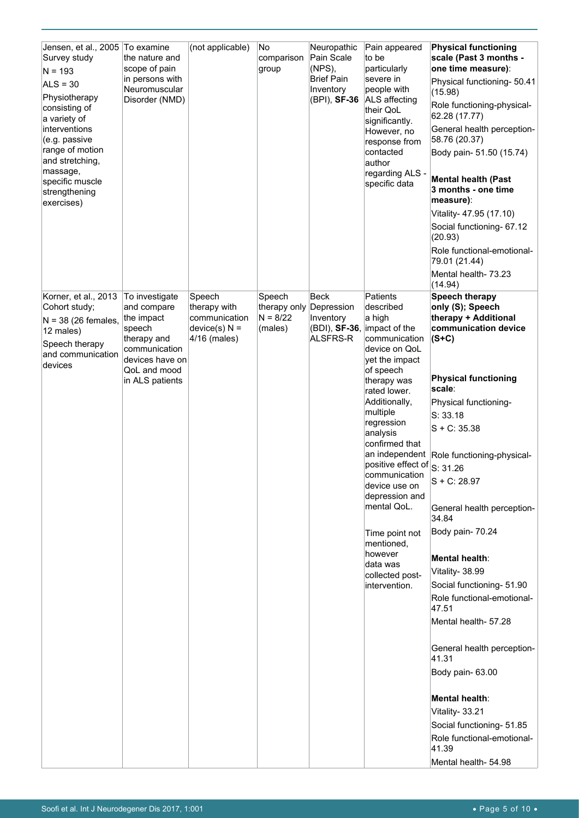| Jensen, et al., 2005 To examine<br>Survey study<br>$N = 193$<br>$ALS = 30$<br>Physiotherapy<br>consisting of<br>a variety of<br>interventions<br>(e.g. passive<br>range of motion<br>and stretching,<br>massage,<br>specific muscle<br>strengthening<br>exercises) | the nature and<br>scope of pain<br>in persons with<br>Neuromuscular<br>Disorder (NMD)                                    | (not applicable)                                                           | No.<br>comparison<br>group                      | Neuropathic<br>Pain Scale<br>$(NPS)$ ,<br><b>Brief Pain</b><br>Inventory<br>(BPI), SF-36 | Pain appeared<br>to be<br>particularly<br>severe in<br>people with<br>ALS affecting<br>their QoL<br>significantly.<br>However, no<br>response from<br>contacted<br>author<br>regarding ALS -<br>specific data | <b>Physical functioning</b><br>scale (Past 3 months -<br>one time measure):<br>Physical functioning- 50.41<br>(15.98)<br>Role functioning-physical-<br>62.28 (17.77)<br>General health perception-<br>58.76 (20.37)<br>Body pain- 51.50 (15.74)<br><b>Mental health (Past</b><br>3 months - one time<br>measure):<br>Vitality- 47.95 (17.10)<br>Social functioning- 67.12<br>(20.93)<br>Role functional-emotional-<br>79.01 (21.44)<br>Mental health- 73.23 |
|--------------------------------------------------------------------------------------------------------------------------------------------------------------------------------------------------------------------------------------------------------------------|--------------------------------------------------------------------------------------------------------------------------|----------------------------------------------------------------------------|-------------------------------------------------|------------------------------------------------------------------------------------------|---------------------------------------------------------------------------------------------------------------------------------------------------------------------------------------------------------------|-------------------------------------------------------------------------------------------------------------------------------------------------------------------------------------------------------------------------------------------------------------------------------------------------------------------------------------------------------------------------------------------------------------------------------------------------------------|
|                                                                                                                                                                                                                                                                    |                                                                                                                          |                                                                            |                                                 |                                                                                          |                                                                                                                                                                                                               | (14.94)                                                                                                                                                                                                                                                                                                                                                                                                                                                     |
| Korner, et al., 2013<br>Cohort study;<br>$N = 38$ (26 females,<br>12 males)<br>Speech therapy<br>and communication<br>devices                                                                                                                                      | To investigate<br>and compare<br>the impact<br>speech<br>therapy and<br>communication<br>devices have on<br>QoL and mood | Speech<br>therapy with<br>communication<br>$device(s) N =$<br>4/16 (males) | Speech<br>therapy only<br>$N = 8/22$<br>(males) | <b>Beck</b><br>Depression<br>Inventory<br>(BDI), SF-36,<br>ALSFRS-R                      | Patients<br>described<br>a high<br>impact of the<br>communication<br>device on QoL<br>yet the impact<br>of speech                                                                                             | <b>Speech therapy</b><br>only (S); Speech<br>therapy + Additional<br>communication device<br>$(S+C)$                                                                                                                                                                                                                                                                                                                                                        |
|                                                                                                                                                                                                                                                                    | in ALS patients                                                                                                          |                                                                            |                                                 |                                                                                          | therapy was                                                                                                                                                                                                   | <b>Physical functioning</b>                                                                                                                                                                                                                                                                                                                                                                                                                                 |
|                                                                                                                                                                                                                                                                    |                                                                                                                          |                                                                            |                                                 |                                                                                          | rated lower.<br>Additionally,                                                                                                                                                                                 | scale:<br>Physical functioning-                                                                                                                                                                                                                                                                                                                                                                                                                             |
|                                                                                                                                                                                                                                                                    |                                                                                                                          |                                                                            |                                                 |                                                                                          | multiple                                                                                                                                                                                                      | S: 33.18                                                                                                                                                                                                                                                                                                                                                                                                                                                    |
|                                                                                                                                                                                                                                                                    |                                                                                                                          |                                                                            |                                                 |                                                                                          | regression<br>analysis                                                                                                                                                                                        | $S + C: 35.38$                                                                                                                                                                                                                                                                                                                                                                                                                                              |
|                                                                                                                                                                                                                                                                    |                                                                                                                          |                                                                            |                                                 |                                                                                          | confirmed that                                                                                                                                                                                                |                                                                                                                                                                                                                                                                                                                                                                                                                                                             |
|                                                                                                                                                                                                                                                                    |                                                                                                                          |                                                                            |                                                 |                                                                                          | positive effect of S: 31.26                                                                                                                                                                                   | an independent Role functioning-physical-                                                                                                                                                                                                                                                                                                                                                                                                                   |
|                                                                                                                                                                                                                                                                    |                                                                                                                          |                                                                            |                                                 |                                                                                          | communication                                                                                                                                                                                                 | $S + C: 28.97$                                                                                                                                                                                                                                                                                                                                                                                                                                              |
|                                                                                                                                                                                                                                                                    |                                                                                                                          |                                                                            |                                                 |                                                                                          | device use on<br>depression and                                                                                                                                                                               |                                                                                                                                                                                                                                                                                                                                                                                                                                                             |
|                                                                                                                                                                                                                                                                    |                                                                                                                          |                                                                            |                                                 |                                                                                          | mental QoL.                                                                                                                                                                                                   | General health perception-<br>34.84                                                                                                                                                                                                                                                                                                                                                                                                                         |
|                                                                                                                                                                                                                                                                    |                                                                                                                          |                                                                            |                                                 |                                                                                          | Time point not<br>mentioned,                                                                                                                                                                                  | Body pain- 70.24                                                                                                                                                                                                                                                                                                                                                                                                                                            |
|                                                                                                                                                                                                                                                                    |                                                                                                                          |                                                                            |                                                 |                                                                                          | however                                                                                                                                                                                                       | Mental health:                                                                                                                                                                                                                                                                                                                                                                                                                                              |
|                                                                                                                                                                                                                                                                    |                                                                                                                          |                                                                            |                                                 |                                                                                          | data was<br>collected post-                                                                                                                                                                                   | Vitality- 38.99                                                                                                                                                                                                                                                                                                                                                                                                                                             |
|                                                                                                                                                                                                                                                                    |                                                                                                                          |                                                                            |                                                 |                                                                                          | intervention.                                                                                                                                                                                                 | Social functioning- 51.90                                                                                                                                                                                                                                                                                                                                                                                                                                   |
|                                                                                                                                                                                                                                                                    |                                                                                                                          |                                                                            |                                                 |                                                                                          |                                                                                                                                                                                                               | Role functional-emotional-<br>47.51                                                                                                                                                                                                                                                                                                                                                                                                                         |
|                                                                                                                                                                                                                                                                    |                                                                                                                          |                                                                            |                                                 |                                                                                          |                                                                                                                                                                                                               | Mental health- 57.28                                                                                                                                                                                                                                                                                                                                                                                                                                        |
|                                                                                                                                                                                                                                                                    |                                                                                                                          |                                                                            |                                                 |                                                                                          |                                                                                                                                                                                                               | General health perception-<br>41.31                                                                                                                                                                                                                                                                                                                                                                                                                         |
|                                                                                                                                                                                                                                                                    |                                                                                                                          |                                                                            |                                                 |                                                                                          |                                                                                                                                                                                                               | Body pain-63.00                                                                                                                                                                                                                                                                                                                                                                                                                                             |
|                                                                                                                                                                                                                                                                    |                                                                                                                          |                                                                            |                                                 |                                                                                          |                                                                                                                                                                                                               | Mental health:                                                                                                                                                                                                                                                                                                                                                                                                                                              |
|                                                                                                                                                                                                                                                                    |                                                                                                                          |                                                                            |                                                 |                                                                                          |                                                                                                                                                                                                               | Vitality- 33.21                                                                                                                                                                                                                                                                                                                                                                                                                                             |
|                                                                                                                                                                                                                                                                    |                                                                                                                          |                                                                            |                                                 |                                                                                          |                                                                                                                                                                                                               | Social functioning- 51.85                                                                                                                                                                                                                                                                                                                                                                                                                                   |
|                                                                                                                                                                                                                                                                    |                                                                                                                          |                                                                            |                                                 |                                                                                          |                                                                                                                                                                                                               | Role functional-emotional-<br>41.39                                                                                                                                                                                                                                                                                                                                                                                                                         |
|                                                                                                                                                                                                                                                                    |                                                                                                                          |                                                                            |                                                 |                                                                                          |                                                                                                                                                                                                               | Mental health- 54.98                                                                                                                                                                                                                                                                                                                                                                                                                                        |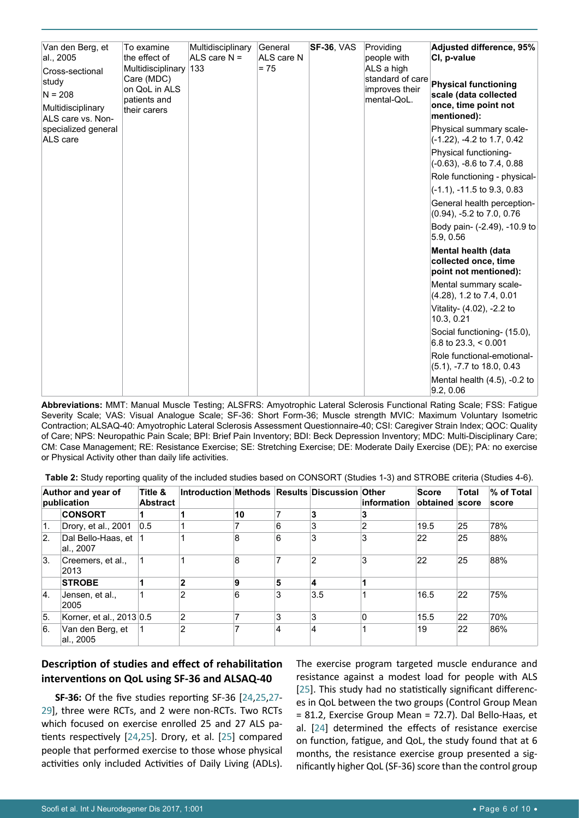| Van den Berg, et<br>al., 2005<br>Cross-sectional<br>study<br>$N = 208$<br>Multidisciplinary<br>ALS care vs. Non- | To examine<br>the effect of<br>Multidisciplinary<br>Care (MDC)<br>on QoL in ALS<br>patients and<br>their carers | Multidisciplinary<br>ALS care $N =$<br>133 | General<br>ALS care N<br>$= 75$ | <b>SF-36, VAS</b> | Providing<br>people with<br>ALS a high<br>standard of care<br>improves their<br>mental-QoL. | <b>Adjusted difference, 95%</b><br>CI, p-value<br><b>Physical functioning</b><br>scale (data collected<br>once, time point not<br>mentioned): |
|------------------------------------------------------------------------------------------------------------------|-----------------------------------------------------------------------------------------------------------------|--------------------------------------------|---------------------------------|-------------------|---------------------------------------------------------------------------------------------|-----------------------------------------------------------------------------------------------------------------------------------------------|
| specialized general<br>ALS care                                                                                  |                                                                                                                 |                                            |                                 |                   |                                                                                             | Physical summary scale-<br>(-1.22), -4.2 to 1.7, 0.42                                                                                         |
|                                                                                                                  |                                                                                                                 |                                            |                                 |                   |                                                                                             | Physical functioning-<br>(-0.63), -8.6 to 7.4, 0.88                                                                                           |
|                                                                                                                  |                                                                                                                 |                                            |                                 |                   |                                                                                             | Role functioning - physical-                                                                                                                  |
|                                                                                                                  |                                                                                                                 |                                            |                                 |                   |                                                                                             | $(-1.1)$ , $-11.5$ to 9.3, 0.83                                                                                                               |
|                                                                                                                  |                                                                                                                 |                                            |                                 |                   |                                                                                             | General health perception-<br>$(0.94)$ , -5.2 to 7.0, 0.76                                                                                    |
|                                                                                                                  |                                                                                                                 |                                            |                                 |                   |                                                                                             | Body pain- (-2.49), -10.9 to<br>5.9, 0.56                                                                                                     |
|                                                                                                                  |                                                                                                                 |                                            |                                 |                   |                                                                                             | Mental health (data<br>collected once, time<br>point not mentioned):                                                                          |
|                                                                                                                  |                                                                                                                 |                                            |                                 |                   |                                                                                             | Mental summary scale-<br>(4.28), 1.2 to 7.4, 0.01                                                                                             |
|                                                                                                                  |                                                                                                                 |                                            |                                 |                   |                                                                                             | Vitality- (4.02), -2.2 to<br>10.3, 0.21                                                                                                       |
|                                                                                                                  |                                                                                                                 |                                            |                                 |                   |                                                                                             | Social functioning- (15.0),<br>6.8 to $23.3 \times 0.001$                                                                                     |
|                                                                                                                  |                                                                                                                 |                                            |                                 |                   |                                                                                             | Role functional-emotional-<br>$(5.1)$ , $-7.7$ to 18.0, 0.43                                                                                  |
|                                                                                                                  |                                                                                                                 |                                            |                                 |                   |                                                                                             | Mental health (4.5), -0.2 to<br>9.2, 0.06                                                                                                     |

**Abbreviations:** MMT: Manual Muscle Testing; ALSFRS: Amyotrophic Lateral Sclerosis Functional Rating Scale; FSS: Fatigue Severity Scale; VAS: Visual Analogue Scale; SF-36: Short Form-36; Muscle strength MVIC: Maximum Voluntary Isometric Contraction; ALSAQ-40: Amyotrophic Lateral Sclerosis Assessment Questionnaire-40; CSI: Caregiver Strain Index; QOC: Quality of Care; NPS: Neuropathic Pain Scale; BPI: Brief Pain Inventory; BDI: Beck Depression Inventory; MDC: Multi-Disciplinary Care; CM: Case Management; RE: Resistance Exercise; SE: Stretching Exercise; DE: Moderate Daily Exercise (DE); PA: no exercise or Physical Activity other than daily life activities.

<span id="page-5-0"></span>

| Table 2: Study reporting quality of the included studies based on CONSORT (Studies 1-3) and STROBE criteria (Studies 4-6). |  |  |  |  |  |
|----------------------------------------------------------------------------------------------------------------------------|--|--|--|--|--|
|----------------------------------------------------------------------------------------------------------------------------|--|--|--|--|--|

|                  | Author and year of<br>publication | Title &<br><b>Abstract</b> | Introduction Methods Results Discussion Other |    |   |     | information | <b>Score</b><br>obtained score | <b>Total</b> | % of Total<br>score |
|------------------|-----------------------------------|----------------------------|-----------------------------------------------|----|---|-----|-------------|--------------------------------|--------------|---------------------|
|                  | <b>CONSORT</b>                    |                            |                                               | 10 |   | 3   | 3           |                                |              |                     |
| 1.               | Drory, et al., 2001               | 0.5                        |                                               |    | 6 | 3   | 2           | 19.5                           | 25           | 78%                 |
| $\overline{2}$ . | Dal Bello-Haas, et<br>al., 2007   |                            |                                               | 8  | 6 | 3   | 3           | 22                             | 25           | 88%                 |
| 3.               | Creemers, et al.,<br>2013         |                            |                                               | 8  | 7 | 2   | 3           | 22                             | 25           | 88%                 |
|                  | <b>STROBE</b>                     |                            | $\overline{2}$                                | 9  | 5 | 4   |             |                                |              |                     |
| 4.               | Jensen, et al.,<br>2005           |                            | $\overline{2}$                                | 6  | 3 | 3.5 |             | 16.5                           | 22           | 75%                 |
| 5.               | Korner, et al., 2013 0.5          |                            | $\overline{2}$                                |    | 3 | 3   | 0           | 15.5                           | 22           | 70%                 |
| 6.               | Van den Berg, et<br>al., 2005     |                            | $\overline{2}$                                |    | 4 | 4   |             | 19                             | 22           | 86%                 |

# **Description of studies and effect of rehabilitation interventions on QoL using SF-36 and ALSAQ-40**

**SF-36:** Of the five studies reporting SF-36 [\[24](#page-9-13),[25,](#page-9-18)[27](#page-9-15)- [29](#page-9-17)], three were RCTs, and 2 were non-RCTs. Two RCTs which focused on exercise enrolled 25 and 27 ALS patients respectively [\[24](#page-9-13),[25\]](#page-9-18). Drory, et al. [[25](#page-9-18)] compared people that performed exercise to those whose physical activities only included Activities of Daily Living (ADLs). The exercise program targeted muscle endurance and resistance against a modest load for people with ALS [[25\]](#page-9-18). This study had no statistically significant differences in QoL between the two groups (Control Group Mean = 81.2, Exercise Group Mean = 72.7). Dal Bello-Haas, et al. [[24](#page-9-13)] determined the effects of resistance exercise on function, fatigue, and QoL, the study found that at 6 months, the resistance exercise group presented a significantly higher QoL (SF-36) score than the control group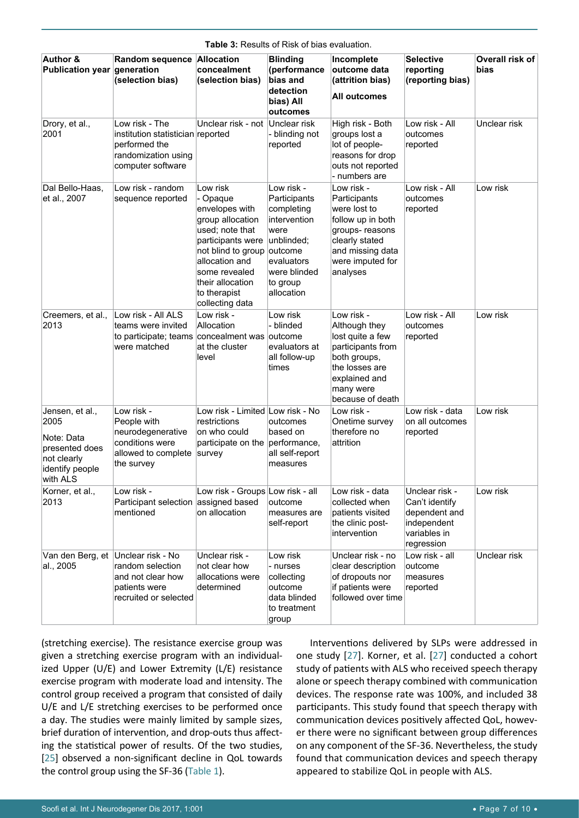| <b>Author &amp;</b><br>Publication year generation                                                    | Random sequence Allocation<br>(selection bias)                                                                   | concealment<br>(selection bias)                                                                                                                                                                                    | <b>Blinding</b><br>(performance<br>bias and<br>detection<br>bias) All<br>outcomes                                                                 | Incomplete<br>outcome data<br>(attrition bias)<br><b>All outcomes</b>                                                                                    | <b>Selective</b><br>reporting<br>(reporting bias)                                              | Overall risk of<br>bias |
|-------------------------------------------------------------------------------------------------------|------------------------------------------------------------------------------------------------------------------|--------------------------------------------------------------------------------------------------------------------------------------------------------------------------------------------------------------------|---------------------------------------------------------------------------------------------------------------------------------------------------|----------------------------------------------------------------------------------------------------------------------------------------------------------|------------------------------------------------------------------------------------------------|-------------------------|
| Drory, et al.,<br>2001                                                                                | Low risk - The<br>institution statistician reported<br>performed the<br>randomization using<br>computer software | Unclear risk - not                                                                                                                                                                                                 | Unclear risk<br>- blinding not<br>reported                                                                                                        | High risk - Both<br>groups lost a<br>lot of people-<br>reasons for drop<br>outs not reported<br>- numbers are                                            | Low risk - All<br>outcomes<br>reported                                                         | Unclear risk            |
| Dal Bello-Haas,<br>et al., 2007                                                                       | Low risk - random<br>sequence reported                                                                           | Low risk<br>- Opaque<br>envelopes with<br>group allocation<br>used; note that<br>participants were<br>not blind to group<br>allocation and<br>some revealed<br>their allocation<br>to therapist<br>collecting data | Low risk -<br>Participants<br>completing<br>intervention<br>were<br>unblinded;<br>outcome<br>evaluators<br>were blinded<br>to group<br>allocation | Low risk -<br>Participants<br>were lost to<br>follow up in both<br>groups-reasons<br>clearly stated<br>and missing data<br>were imputed for<br>analyses  | Low risk - All<br>outcomes<br>reported                                                         | Low risk                |
| Creemers, et al.,<br>2013                                                                             | Low risk - All ALS<br>teams were invited<br>to participate; teams concealment was outcome<br>were matched        | Low risk -<br>Allocation<br>at the cluster<br>level                                                                                                                                                                | Low risk<br>- blinded<br>evaluators at<br>all follow-up<br>times                                                                                  | Low risk -<br>Although they<br>lost quite a few<br>participants from<br>both groups,<br>the losses are<br>explained and<br>many were<br>because of death | Low risk - All<br>outcomes<br>reported                                                         | Low risk                |
| Jensen, et al.,<br>2005<br>Note: Data<br>presented does<br>not clearly<br>identify people<br>with ALS | Low risk -<br>People with<br>neurodegenerative<br>conditions were<br>allowed to complete<br>the survey           | Low risk - Limited Low risk - No<br>restrictions<br>on who could<br>participate on the<br>survey                                                                                                                   | outcomes<br>based on<br>performance,<br>all self-report<br>measures                                                                               | Low risk -<br>Onetime survey<br>therefore no<br>attrition                                                                                                | Low risk - data<br>on all outcomes<br>reported                                                 | Low risk                |
| Korner, et al.,<br>2013                                                                               | Low risk -<br>Participant selection<br>mentioned                                                                 | Low risk - Groups Low risk - all<br>assigned based<br>on allocation                                                                                                                                                | outcome<br>measures are<br>self-report                                                                                                            | Low risk - data<br>collected when<br>patients visited<br>the clinic post-<br>intervention                                                                | Unclear risk -<br>Can't identify<br>dependent and<br>independent<br>variables in<br>regression | Low risk                |
| Van den Berg, et<br>al., 2005                                                                         | Unclear risk - No<br>random selection<br>and not clear how<br>patients were<br>recruited or selected             | Unclear risk -<br>not clear how<br>allocations were<br>determined                                                                                                                                                  | Low risk<br>- nurses<br>collecting<br>outcome<br>data blinded<br>to treatment<br>group                                                            | Unclear risk - no<br>clear description<br>of dropouts nor<br>if patients were<br>followed over time                                                      | Low risk - all<br>outcome<br>measures<br>reported                                              | Unclear risk            |

<span id="page-6-0"></span>**Table 3:** Results of Risk of bias evaluation.

(stretching exercise). The resistance exercise group was given a stretching exercise program with an individualized Upper (U/E) and Lower Extremity (L/E) resistance exercise program with moderate load and intensity. The control group received a program that consisted of daily U/E and L/E stretching exercises to be performed once a day. The studies were mainly limited by sample sizes, brief duration of intervention, and drop-outs thus affecting the statistical power of results. Of the two studies, [[25\]](#page-9-18) observed a non-significant decline in QoL towards the control group using the SF-36 ([Table 1](#page-3-0)).

Interventions delivered by SLPs were addressed in one study [[27](#page-9-15)]. Korner, et al. [[27](#page-9-15)] conducted a cohort study of patients with ALS who received speech therapy alone or speech therapy combined with communication devices. The response rate was 100%, and included 38 participants. This study found that speech therapy with communication devices positively affected QoL, however there were no significant between group differences on any component of the SF-36. Nevertheless, the study found that communication devices and speech therapy appeared to stabilize QoL in people with ALS.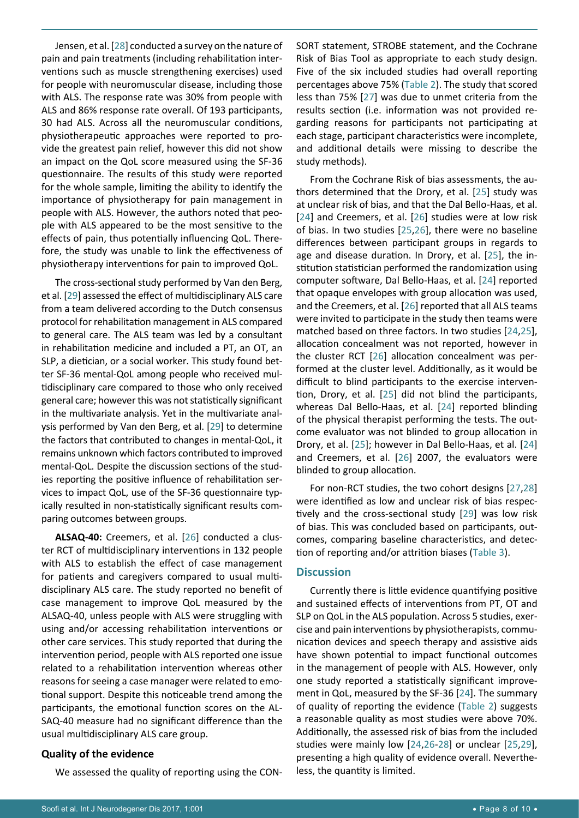Jensen, et al. [[28](#page-9-16)] conducted a survey on the nature of pain and pain treatments (including rehabilitation interventions such as muscle strengthening exercises) used for people with neuromuscular disease, including those with ALS. The response rate was 30% from people with ALS and 86% response rate overall. Of 193 participants, 30 had ALS. Across all the neuromuscular conditions, physiotherapeutic approaches were reported to provide the greatest pain relief, however this did not show an impact on the QoL score measured using the SF-36 questionnaire. The results of this study were reported for the whole sample, limiting the ability to identify the importance of physiotherapy for pain management in people with ALS. However, the authors noted that people with ALS appeared to be the most sensitive to the effects of pain, thus potentially influencing QoL. Therefore, the study was unable to link the effectiveness of physiotherapy interventions for pain to improved QoL.

The cross-sectional study performed by Van den Berg, et al. [[29\]](#page-9-17) assessed the effect of multidisciplinary ALS care from a team delivered according to the Dutch consensus protocol for rehabilitation management in ALS compared to general care. The ALS team was led by a consultant in rehabilitation medicine and included a PT, an OT, an SLP, a dietician, or a social worker. This study found better SF-36 mental-QoL among people who received multidisciplinary care compared to those who only received general care; however this was not statistically significant in the multivariate analysis. Yet in the multivariate analysis performed by Van den Berg, et al. [[29](#page-9-17)] to determine the factors that contributed to changes in mental-QoL, it remains unknown which factors contributed to improved mental-QoL. Despite the discussion sections of the studies reporting the positive influence of rehabilitation services to impact QoL, use of the SF-36 questionnaire typically resulted in non-statistically significant results comparing outcomes between groups.

**ALSAQ-40:** Creemers, et al. [[26\]](#page-9-14) conducted a cluster RCT of multidisciplinary interventions in 132 people with ALS to establish the effect of case management for patients and caregivers compared to usual multidisciplinary ALS care. The study reported no benefit of case management to improve QoL measured by the ALSAQ-40, unless people with ALS were struggling with using and/or accessing rehabilitation interventions or other care services. This study reported that during the intervention period, people with ALS reported one issue related to a rehabilitation intervention whereas other reasons for seeing a case manager were related to emotional support. Despite this noticeable trend among the participants, the emotional function scores on the AL-SAQ-40 measure had no significant difference than the usual multidisciplinary ALS care group.

#### **Quality of the evidence**

We assessed the quality of reporting using the CON-

SORT statement, STROBE statement, and the Cochrane Risk of Bias Tool as appropriate to each study design. Five of the six included studies had overall reporting percentages above 75% ([Table 2](#page-5-0)). The study that scored less than 75% [[27\]](#page-9-15) was due to unmet criteria from the results section (i.e. information was not provided regarding reasons for participants not participating at each stage, participant characteristics were incomplete, and additional details were missing to describe the study methods).

From the Cochrane Risk of bias assessments, the authors determined that the Drory, et al. [\[25](#page-9-18)] study was at unclear risk of bias, and that the Dal Bello-Haas, et al. [[24](#page-9-13)] and Creemers, et al. [[26\]](#page-9-14) studies were at low risk of bias. In two studies [[25,](#page-9-18)[26](#page-9-14)], there were no baseline differences between participant groups in regards to age and disease duration. In Drory, et al. [\[25\]](#page-9-18), the institution statistician performed the randomization using computer software, Dal Bello-Haas, et al. [[24](#page-9-13)] reported that opaque envelopes with group allocation was used, and the Creemers, et al. [[26\]](#page-9-14) reported that all ALS teams were invited to participate in the study then teams were matched based on three factors. In two studies [[24](#page-9-13)[,25\]](#page-9-18), allocation concealment was not reported, however in the cluster RCT [[26](#page-9-14)] allocation concealment was performed at the cluster level. Additionally, as it would be difficult to blind participants to the exercise intervention, Drory, et al. [[25\]](#page-9-18) did not blind the participants, whereas Dal Bello-Haas, et al. [[24](#page-9-13)] reported blinding of the physical therapist performing the tests. The outcome evaluator was not blinded to group allocation in Drory, et al. [[25\]](#page-9-18); however in Dal Bello-Haas, et al. [\[24](#page-9-13)] and Creemers, et al. [[26](#page-9-14)] 2007, the evaluators were blinded to group allocation.

For non-RCT studies, the two cohort designs [[27](#page-9-15),[28](#page-9-16)] were identified as low and unclear risk of bias respectively and the cross-sectional study [\[29](#page-9-17)] was low risk of bias. This was concluded based on participants, outcomes, comparing baseline characteristics, and detection of reporting and/or attrition biases ([Table 3\)](#page-6-0).

#### **Discussion**

Currently there is little evidence quantifying positive and sustained effects of interventions from PT, OT and SLP on QoL in the ALS population. Across 5 studies, exercise and pain interventions by physiotherapists, communication devices and speech therapy and assistive aids have shown potential to impact functional outcomes in the management of people with ALS. However, only one study reported a statistically significant improvement in QoL, measured by the SF-36 [\[24](#page-9-13)]. The summary of quality of reporting the evidence ([Table 2\)](#page-5-0) suggests a reasonable quality as most studies were above 70%. Additionally, the assessed risk of bias from the included studies were mainly low [[24](#page-9-13),[26](#page-9-14)-[28\]](#page-9-16) or unclear [[25](#page-9-18)[,29\]](#page-9-17), presenting a high quality of evidence overall. Nevertheless, the quantity is limited.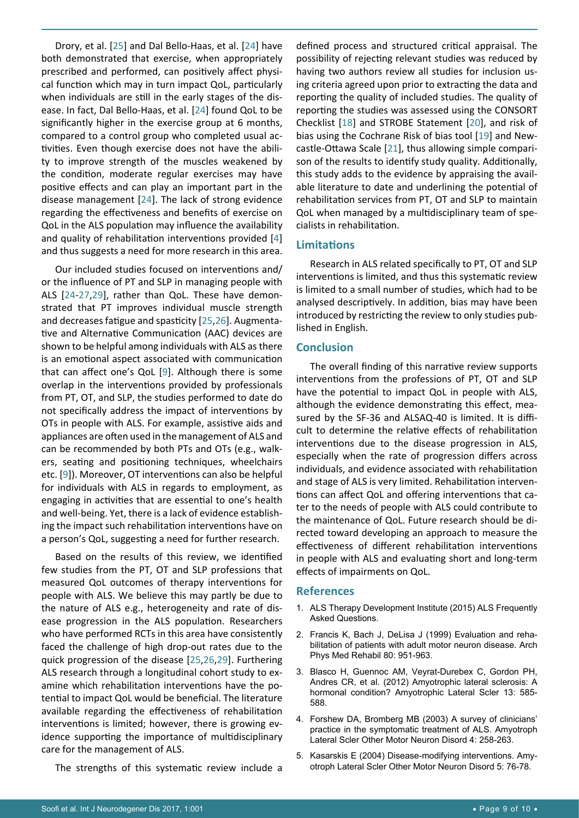Drory, et al. [\[25](#page-9-18)] and Dal Bello-Haas, et al. [[24\]](#page-9-13) have both demonstrated that exercise, when appropriately prescribed and performed, can positively affect physical function which may in turn impact QoL, particularly when individuals are still in the early stages of the disease. In fact, Dal Bello-Haas, et al. [\[24\]](#page-9-13) found QoL to be significantly higher in the exercise group at 6 months, compared to a control group who completed usual activities. Even though exercise does not have the ability to improve strength of the muscles weakened by the condition, moderate regular exercises may have positive effects and can play an important part in the disease management [[24](#page-9-13)]. The lack of strong evidence regarding the effectiveness and benefits of exercise on QoL in the ALS population may influence the availability and quality of rehabilitation interventions provided [[4](#page-8-3)] and thus suggests a need for more research in this area.

Our included studies focused on interventions and/ or the influence of PT and SLP in managing people with ALS [[24](#page-9-13)-[27](#page-9-15),[29\]](#page-9-17), rather than QoL. These have demonstrated that PT improves individual muscle strength and decreases fatigue and spasticity [[25,](#page-9-18)[26\]](#page-9-14). Augmentative and Alternative Communication (AAC) devices are shown to be helpful among individuals with ALS as there is an emotional aspect associated with communication that can affect one's QoL [[9](#page-9-6)]. Although there is some overlap in the interventions provided by professionals from PT, OT, and SLP, the studies performed to date do not specifically address the impact of interventions by OTs in people with ALS. For example, assistive aids and appliances are often used in the management of ALS and can be recommended by both PTs and OTs (e.g., walkers, seating and positioning techniques, wheelchairs etc. [[9](#page-9-6)]). Moreover, OT interventions can also be helpful for individuals with ALS in regards to employment, as engaging in activities that are essential to one's health and well-being. Yet, there is a lack of evidence establishing the impact such rehabilitation interventions have on a person's QoL, suggesting a need for further research.

Based on the results of this review, we identified few studies from the PT, OT and SLP professions that measured QoL outcomes of therapy interventions for people with ALS. We believe this may partly be due to the nature of ALS e.g., heterogeneity and rate of disease progression in the ALS population. Researchers who have performed RCTs in this area have consistently faced the challenge of high drop-out rates due to the quick progression of the disease [\[25,](#page-9-18)[26](#page-9-14)[,29](#page-9-17)]. Furthering ALS research through a longitudinal cohort study to examine which rehabilitation interventions have the potential to impact QoL would be beneficial. The literature available regarding the effectiveness of rehabilitation interventions is limited; however, there is growing evidence supporting the importance of multidisciplinary care for the management of ALS.

The strengths of this systematic review include a

defined process and structured critical appraisal. The possibility of rejecting relevant studies was reduced by having two authors review all studies for inclusion using criteria agreed upon prior to extracting the data and reporting the quality of included studies. The quality of reporting the studies was assessed using the CONSORT Checklist [[18](#page-9-20)] and STROBE Statement [[20](#page-9-22)], and risk of bias using the Cochrane Risk of bias tool [[19](#page-9-21)] and Newcastle-Ottawa Scale [[21](#page-9-23)], thus allowing simple comparison of the results to identify study quality. Additionally, this study adds to the evidence by appraising the available literature to date and underlining the potential of rehabilitation services from PT, OT and SLP to maintain QoL when managed by a multidisciplinary team of specialists in rehabilitation.

#### **Limitations**

Research in ALS related specifically to PT, OT and SLP interventions is limited, and thus this systematic review is limited to a small number of studies, which had to be analysed descriptively. In addition, bias may have been introduced by restricting the review to only studies published in English.

#### **Conclusion**

The overall finding of this narrative review supports interventions from the professions of PT, OT and SLP have the potential to impact QoL in people with ALS, although the evidence demonstrating this effect, measured by the SF-36 and ALSAQ-40 is limited. It is difficult to determine the relative effects of rehabilitation interventions due to the disease progression in ALS, especially when the rate of progression differs across individuals, and evidence associated with rehabilitation and stage of ALS is very limited. Rehabilitation interventions can affect QoL and offering interventions that cater to the needs of people with ALS could contribute to the maintenance of QoL. Future research should be directed toward developing an approach to measure the effectiveness of different rehabilitation interventions in people with ALS and evaluating short and long-term effects of impairments on QoL.

#### **References**

- <span id="page-8-0"></span>1. [ALS Therapy Development Institute \(2015\) ALS Frequently](https://www.als.net/about-als-tdi/als-faq/)  [Asked Questions.](https://www.als.net/about-als-tdi/als-faq/)
- <span id="page-8-1"></span>2. [Francis K, Bach J, DeLisa J \(1999\) Evaluation and reha](https://www.ncbi.nlm.nih.gov/pubmed/10453774)[bilitation of patients with adult motor neuron disease. Arch](https://www.ncbi.nlm.nih.gov/pubmed/10453774)  [Phys Med Rehabil 80: 951-963.](https://www.ncbi.nlm.nih.gov/pubmed/10453774)
- <span id="page-8-2"></span>3. [Blasco H, Guennoc AM, Veyrat-Durebex C, Gordon PH,](https://www.ncbi.nlm.nih.gov/pubmed/22873563)  [Andres CR, et al. \(2012\) Amyotrophic lateral sclerosis: A](https://www.ncbi.nlm.nih.gov/pubmed/22873563)  [hormonal condition? Amyotrophic Lateral Scler 13: 585-](https://www.ncbi.nlm.nih.gov/pubmed/22873563) [588.](https://www.ncbi.nlm.nih.gov/pubmed/22873563)
- <span id="page-8-3"></span>4. [Forshew DA, Bromberg MB \(2003\) A survey of clinicians'](https://www.ncbi.nlm.nih.gov/pubmed/14753660)  [practice in the symptomatic treatment of ALS. Amyotroph](https://www.ncbi.nlm.nih.gov/pubmed/14753660)  [Lateral Scler Other Motor Neuron Disord 4: 258-263.](https://www.ncbi.nlm.nih.gov/pubmed/14753660)
- <span id="page-8-4"></span>5. [Kasarskis E \(2004\) Disease-modifying interventions. Amy](https://www.ncbi.nlm.nih.gov/pubmed/15512879)[otroph Lateral Scler Other Motor Neuron Disord 5: 76-78.](https://www.ncbi.nlm.nih.gov/pubmed/15512879)